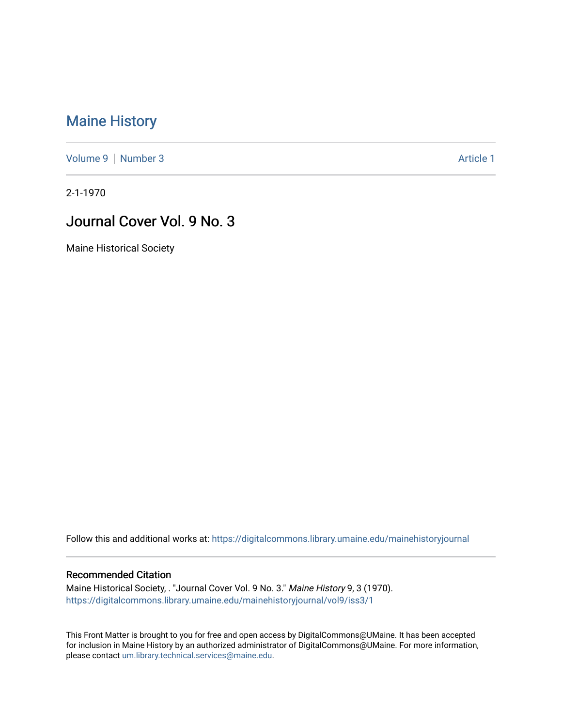## [Maine History](https://digitalcommons.library.umaine.edu/mainehistoryjournal)

[Volume 9](https://digitalcommons.library.umaine.edu/mainehistoryjournal/vol9) | [Number 3](https://digitalcommons.library.umaine.edu/mainehistoryjournal/vol9/iss3) Article 1

2-1-1970

## Journal Cover Vol. 9 No. 3

Maine Historical Society

Follow this and additional works at: [https://digitalcommons.library.umaine.edu/mainehistoryjournal](https://digitalcommons.library.umaine.edu/mainehistoryjournal?utm_source=digitalcommons.library.umaine.edu%2Fmainehistoryjournal%2Fvol9%2Fiss3%2F1&utm_medium=PDF&utm_campaign=PDFCoverPages) 

## Recommended Citation

Maine Historical Society, . "Journal Cover Vol. 9 No. 3." Maine History 9, 3 (1970). [https://digitalcommons.library.umaine.edu/mainehistoryjournal/vol9/iss3/1](https://digitalcommons.library.umaine.edu/mainehistoryjournal/vol9/iss3/1?utm_source=digitalcommons.library.umaine.edu%2Fmainehistoryjournal%2Fvol9%2Fiss3%2F1&utm_medium=PDF&utm_campaign=PDFCoverPages)

This Front Matter is brought to you for free and open access by DigitalCommons@UMaine. It has been accepted for inclusion in Maine History by an authorized administrator of DigitalCommons@UMaine. For more information, please contact [um.library.technical.services@maine.edu.](mailto:um.library.technical.services@maine.edu)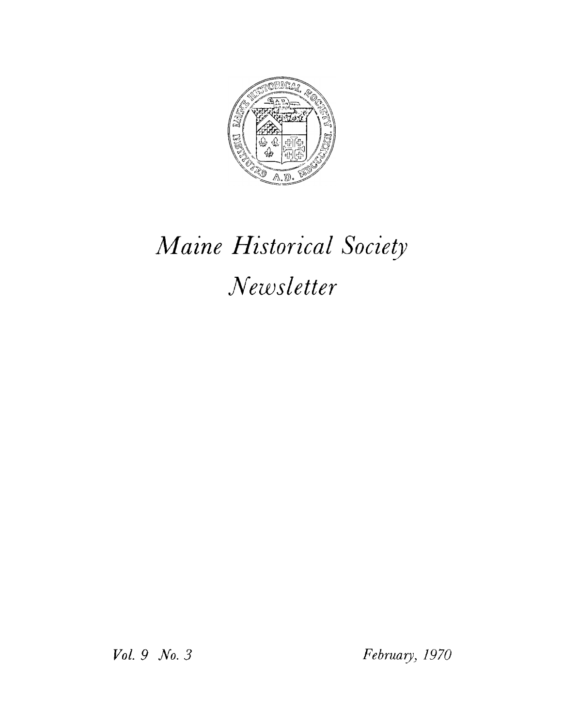

## Maine Historical Society Newsletter

Vol. 9 No. 3

February, 1970